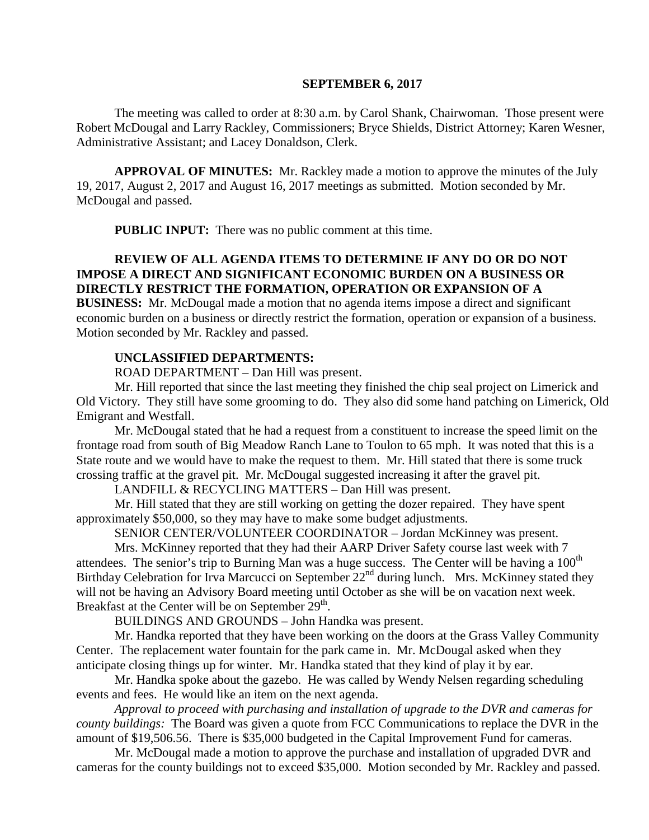#### **SEPTEMBER 6, 2017**

The meeting was called to order at 8:30 a.m. by Carol Shank, Chairwoman. Those present were Robert McDougal and Larry Rackley, Commissioners; Bryce Shields, District Attorney; Karen Wesner, Administrative Assistant; and Lacey Donaldson, Clerk.

**APPROVAL OF MINUTES:** Mr. Rackley made a motion to approve the minutes of the July 19, 2017, August 2, 2017 and August 16, 2017 meetings as submitted. Motion seconded by Mr. McDougal and passed.

**PUBLIC INPUT:** There was no public comment at this time.

### **REVIEW OF ALL AGENDA ITEMS TO DETERMINE IF ANY DO OR DO NOT IMPOSE A DIRECT AND SIGNIFICANT ECONOMIC BURDEN ON A BUSINESS OR DIRECTLY RESTRICT THE FORMATION, OPERATION OR EXPANSION OF A**

**BUSINESS:** Mr. McDougal made a motion that no agenda items impose a direct and significant economic burden on a business or directly restrict the formation, operation or expansion of a business. Motion seconded by Mr. Rackley and passed.

#### **UNCLASSIFIED DEPARTMENTS:**

ROAD DEPARTMENT – Dan Hill was present.

Mr. Hill reported that since the last meeting they finished the chip seal project on Limerick and Old Victory. They still have some grooming to do. They also did some hand patching on Limerick, Old Emigrant and Westfall.

Mr. McDougal stated that he had a request from a constituent to increase the speed limit on the frontage road from south of Big Meadow Ranch Lane to Toulon to 65 mph. It was noted that this is a State route and we would have to make the request to them. Mr. Hill stated that there is some truck crossing traffic at the gravel pit. Mr. McDougal suggested increasing it after the gravel pit.

LANDFILL & RECYCLING MATTERS – Dan Hill was present.

Mr. Hill stated that they are still working on getting the dozer repaired. They have spent approximately \$50,000, so they may have to make some budget adjustments.

SENIOR CENTER/VOLUNTEER COORDINATOR – Jordan McKinney was present.

Mrs. McKinney reported that they had their AARP Driver Safety course last week with 7 attendees. The senior's trip to Burning Man was a huge success. The Center will be having a  $100<sup>th</sup>$ Birthday Celebration for Irva Marcucci on September 22<sup>nd</sup> during lunch. Mrs. McKinney stated they will not be having an Advisory Board meeting until October as she will be on vacation next week. Breakfast at the Center will be on September 29<sup>th</sup>.

BUILDINGS AND GROUNDS – John Handka was present.

Mr. Handka reported that they have been working on the doors at the Grass Valley Community Center. The replacement water fountain for the park came in. Mr. McDougal asked when they anticipate closing things up for winter. Mr. Handka stated that they kind of play it by ear.

Mr. Handka spoke about the gazebo. He was called by Wendy Nelsen regarding scheduling events and fees. He would like an item on the next agenda.

*Approval to proceed with purchasing and installation of upgrade to the DVR and cameras for county buildings:* The Board was given a quote from FCC Communications to replace the DVR in the amount of \$19,506.56. There is \$35,000 budgeted in the Capital Improvement Fund for cameras.

Mr. McDougal made a motion to approve the purchase and installation of upgraded DVR and cameras for the county buildings not to exceed \$35,000. Motion seconded by Mr. Rackley and passed.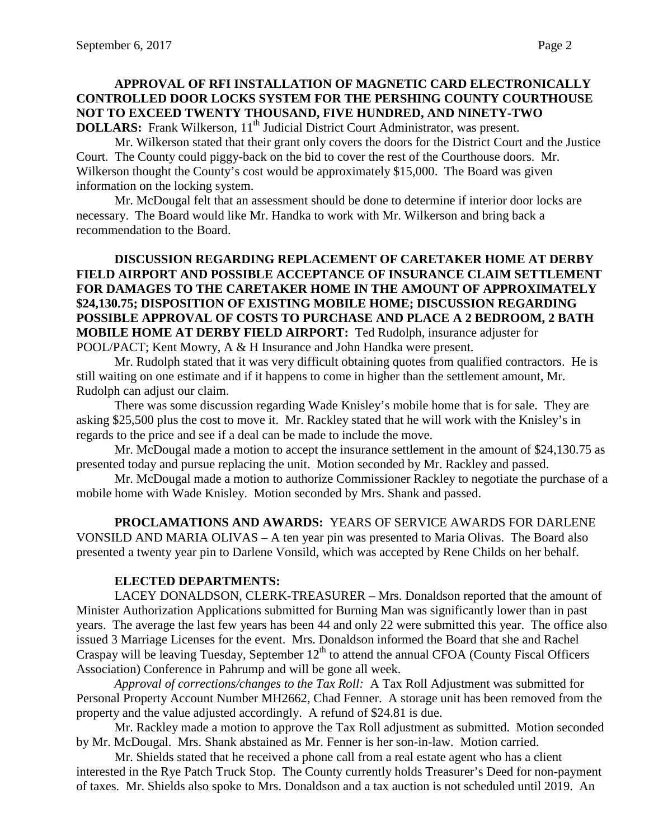## **APPROVAL OF RFI INSTALLATION OF MAGNETIC CARD ELECTRONICALLY CONTROLLED DOOR LOCKS SYSTEM FOR THE PERSHING COUNTY COURTHOUSE NOT TO EXCEED TWENTY THOUSAND, FIVE HUNDRED, AND NINETY-TWO DOLLARS:** Frank Wilkerson, 11<sup>th</sup> Judicial District Court Administrator, was present.

Mr. Wilkerson stated that their grant only covers the doors for the District Court and the Justice Court. The County could piggy-back on the bid to cover the rest of the Courthouse doors. Mr. Wilkerson thought the County's cost would be approximately \$15,000. The Board was given information on the locking system.

Mr. McDougal felt that an assessment should be done to determine if interior door locks are necessary. The Board would like Mr. Handka to work with Mr. Wilkerson and bring back a recommendation to the Board.

### **DISCUSSION REGARDING REPLACEMENT OF CARETAKER HOME AT DERBY FIELD AIRPORT AND POSSIBLE ACCEPTANCE OF INSURANCE CLAIM SETTLEMENT FOR DAMAGES TO THE CARETAKER HOME IN THE AMOUNT OF APPROXIMATELY \$24,130.75; DISPOSITION OF EXISTING MOBILE HOME; DISCUSSION REGARDING POSSIBLE APPROVAL OF COSTS TO PURCHASE AND PLACE A 2 BEDROOM, 2 BATH MOBILE HOME AT DERBY FIELD AIRPORT:** Ted Rudolph, insurance adjuster for POOL/PACT; Kent Mowry, A & H Insurance and John Handka were present.

Mr. Rudolph stated that it was very difficult obtaining quotes from qualified contractors. He is still waiting on one estimate and if it happens to come in higher than the settlement amount, Mr. Rudolph can adjust our claim.

There was some discussion regarding Wade Knisley's mobile home that is for sale. They are asking \$25,500 plus the cost to move it. Mr. Rackley stated that he will work with the Knisley's in regards to the price and see if a deal can be made to include the move.

Mr. McDougal made a motion to accept the insurance settlement in the amount of \$24,130.75 as presented today and pursue replacing the unit. Motion seconded by Mr. Rackley and passed.

Mr. McDougal made a motion to authorize Commissioner Rackley to negotiate the purchase of a mobile home with Wade Knisley. Motion seconded by Mrs. Shank and passed.

**PROCLAMATIONS AND AWARDS:** YEARS OF SERVICE AWARDS FOR DARLENE VONSILD AND MARIA OLIVAS – A ten year pin was presented to Maria Olivas. The Board also presented a twenty year pin to Darlene Vonsild, which was accepted by Rene Childs on her behalf.

## **ELECTED DEPARTMENTS:**

LACEY DONALDSON, CLERK-TREASURER – Mrs. Donaldson reported that the amount of Minister Authorization Applications submitted for Burning Man was significantly lower than in past years. The average the last few years has been 44 and only 22 were submitted this year. The office also issued 3 Marriage Licenses for the event. Mrs. Donaldson informed the Board that she and Rachel Craspay will be leaving Tuesday, September  $12<sup>th</sup>$  to attend the annual CFOA (County Fiscal Officers Association) Conference in Pahrump and will be gone all week.

*Approval of corrections/changes to the Tax Roll:* A Tax Roll Adjustment was submitted for Personal Property Account Number MH2662, Chad Fenner. A storage unit has been removed from the property and the value adjusted accordingly. A refund of \$24.81 is due.

Mr. Rackley made a motion to approve the Tax Roll adjustment as submitted. Motion seconded by Mr. McDougal. Mrs. Shank abstained as Mr. Fenner is her son-in-law. Motion carried.

Mr. Shields stated that he received a phone call from a real estate agent who has a client interested in the Rye Patch Truck Stop. The County currently holds Treasurer's Deed for non-payment of taxes. Mr. Shields also spoke to Mrs. Donaldson and a tax auction is not scheduled until 2019. An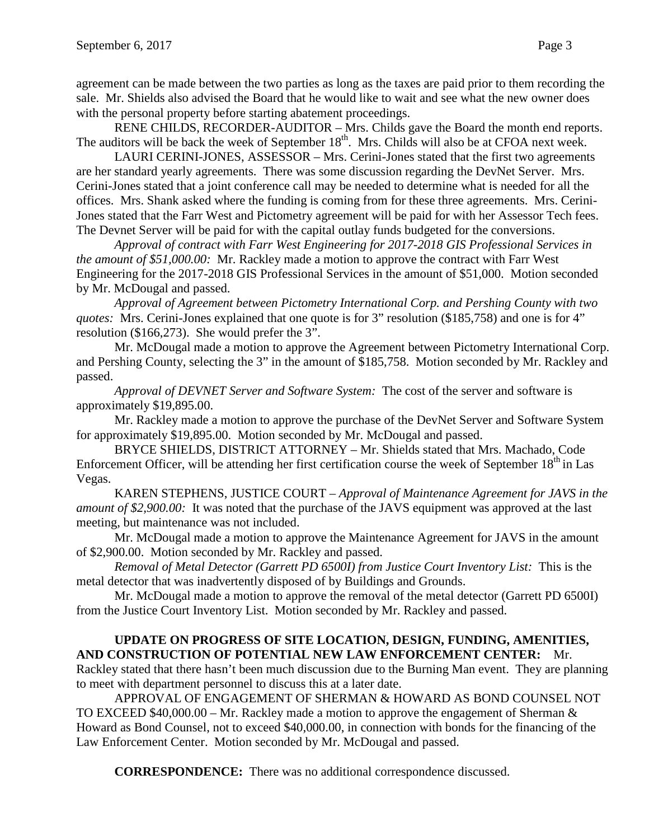agreement can be made between the two parties as long as the taxes are paid prior to them recording the sale. Mr. Shields also advised the Board that he would like to wait and see what the new owner does with the personal property before starting abatement proceedings.

RENE CHILDS, RECORDER-AUDITOR – Mrs. Childs gave the Board the month end reports. The auditors will be back the week of September 18<sup>th</sup>. Mrs. Childs will also be at CFOA next week.

LAURI CERINI-JONES, ASSESSOR – Mrs. Cerini-Jones stated that the first two agreements are her standard yearly agreements. There was some discussion regarding the DevNet Server. Mrs. Cerini-Jones stated that a joint conference call may be needed to determine what is needed for all the offices. Mrs. Shank asked where the funding is coming from for these three agreements. Mrs. Cerini-Jones stated that the Farr West and Pictometry agreement will be paid for with her Assessor Tech fees. The Devnet Server will be paid for with the capital outlay funds budgeted for the conversions.

*Approval of contract with Farr West Engineering for 2017-2018 GIS Professional Services in the amount of \$51,000.00:* Mr. Rackley made a motion to approve the contract with Farr West Engineering for the 2017-2018 GIS Professional Services in the amount of \$51,000. Motion seconded by Mr. McDougal and passed.

*Approval of Agreement between Pictometry International Corp. and Pershing County with two quotes:* Mrs. Cerini-Jones explained that one quote is for 3" resolution (\$185,758) and one is for 4" resolution (\$166,273). She would prefer the 3".

Mr. McDougal made a motion to approve the Agreement between Pictometry International Corp. and Pershing County, selecting the 3" in the amount of \$185,758. Motion seconded by Mr. Rackley and passed.

*Approval of DEVNET Server and Software System:* The cost of the server and software is approximately \$19,895.00.

Mr. Rackley made a motion to approve the purchase of the DevNet Server and Software System for approximately \$19,895.00. Motion seconded by Mr. McDougal and passed.

BRYCE SHIELDS, DISTRICT ATTORNEY – Mr. Shields stated that Mrs. Machado, Code Enforcement Officer, will be attending her first certification course the week of September 18<sup>th</sup> in Las Vegas.

KAREN STEPHENS, JUSTICE COURT – *Approval of Maintenance Agreement for JAVS in the amount of \$2,900.00:* It was noted that the purchase of the JAVS equipment was approved at the last meeting, but maintenance was not included.

Mr. McDougal made a motion to approve the Maintenance Agreement for JAVS in the amount of \$2,900.00. Motion seconded by Mr. Rackley and passed.

*Removal of Metal Detector (Garrett PD 6500I) from Justice Court Inventory List:* This is the metal detector that was inadvertently disposed of by Buildings and Grounds.

Mr. McDougal made a motion to approve the removal of the metal detector (Garrett PD 6500I) from the Justice Court Inventory List. Motion seconded by Mr. Rackley and passed.

## **UPDATE ON PROGRESS OF SITE LOCATION, DESIGN, FUNDING, AMENITIES, AND CONSTRUCTION OF POTENTIAL NEW LAW ENFORCEMENT CENTER:** Mr.

Rackley stated that there hasn't been much discussion due to the Burning Man event. They are planning to meet with department personnel to discuss this at a later date.

APPROVAL OF ENGAGEMENT OF SHERMAN & HOWARD AS BOND COUNSEL NOT TO EXCEED  $$40,000.00 - Mr. Rackley made a motion to approve the engagement of Sherman &$ Howard as Bond Counsel, not to exceed \$40,000.00, in connection with bonds for the financing of the Law Enforcement Center. Motion seconded by Mr. McDougal and passed.

**CORRESPONDENCE:** There was no additional correspondence discussed.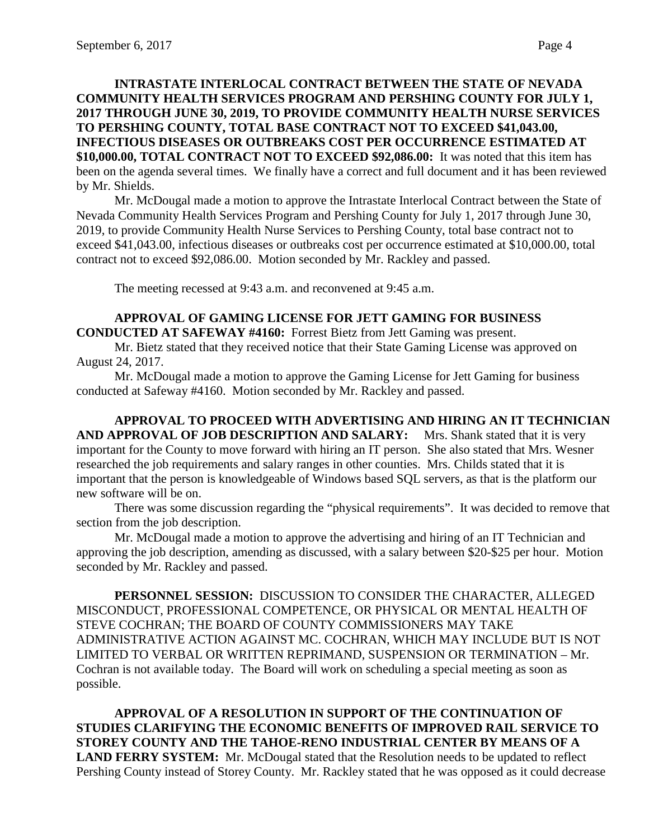## **INTRASTATE INTERLOCAL CONTRACT BETWEEN THE STATE OF NEVADA COMMUNITY HEALTH SERVICES PROGRAM AND PERSHING COUNTY FOR JULY 1, 2017 THROUGH JUNE 30, 2019, TO PROVIDE COMMUNITY HEALTH NURSE SERVICES TO PERSHING COUNTY, TOTAL BASE CONTRACT NOT TO EXCEED \$41,043.00, INFECTIOUS DISEASES OR OUTBREAKS COST PER OCCURRENCE ESTIMATED AT \$10,000.00, TOTAL CONTRACT NOT TO EXCEED \$92,086.00:** It was noted that this item has been on the agenda several times. We finally have a correct and full document and it has been reviewed by Mr. Shields.

Mr. McDougal made a motion to approve the Intrastate Interlocal Contract between the State of Nevada Community Health Services Program and Pershing County for July 1, 2017 through June 30, 2019, to provide Community Health Nurse Services to Pershing County, total base contract not to exceed \$41,043.00, infectious diseases or outbreaks cost per occurrence estimated at \$10,000.00, total contract not to exceed \$92,086.00. Motion seconded by Mr. Rackley and passed.

The meeting recessed at 9:43 a.m. and reconvened at 9:45 a.m.

### **APPROVAL OF GAMING LICENSE FOR JETT GAMING FOR BUSINESS CONDUCTED AT SAFEWAY #4160:** Forrest Bietz from Jett Gaming was present.

Mr. Bietz stated that they received notice that their State Gaming License was approved on August 24, 2017.

Mr. McDougal made a motion to approve the Gaming License for Jett Gaming for business conducted at Safeway #4160. Motion seconded by Mr. Rackley and passed.

**APPROVAL TO PROCEED WITH ADVERTISING AND HIRING AN IT TECHNICIAN AND APPROVAL OF JOB DESCRIPTION AND SALARY:** Mrs. Shank stated that it is very important for the County to move forward with hiring an IT person. She also stated that Mrs. Wesner researched the job requirements and salary ranges in other counties. Mrs. Childs stated that it is important that the person is knowledgeable of Windows based SQL servers, as that is the platform our new software will be on.

There was some discussion regarding the "physical requirements". It was decided to remove that section from the job description.

Mr. McDougal made a motion to approve the advertising and hiring of an IT Technician and approving the job description, amending as discussed, with a salary between \$20-\$25 per hour. Motion seconded by Mr. Rackley and passed.

**PERSONNEL SESSION:** DISCUSSION TO CONSIDER THE CHARACTER, ALLEGED MISCONDUCT, PROFESSIONAL COMPETENCE, OR PHYSICAL OR MENTAL HEALTH OF STEVE COCHRAN; THE BOARD OF COUNTY COMMISSIONERS MAY TAKE ADMINISTRATIVE ACTION AGAINST MC. COCHRAN, WHICH MAY INCLUDE BUT IS NOT LIMITED TO VERBAL OR WRITTEN REPRIMAND, SUSPENSION OR TERMINATION – Mr. Cochran is not available today. The Board will work on scheduling a special meeting as soon as possible.

**APPROVAL OF A RESOLUTION IN SUPPORT OF THE CONTINUATION OF STUDIES CLARIFYING THE ECONOMIC BENEFITS OF IMPROVED RAIL SERVICE TO STOREY COUNTY AND THE TAHOE-RENO INDUSTRIAL CENTER BY MEANS OF A**  LAND FERRY SYSTEM: Mr. McDougal stated that the Resolution needs to be updated to reflect Pershing County instead of Storey County. Mr. Rackley stated that he was opposed as it could decrease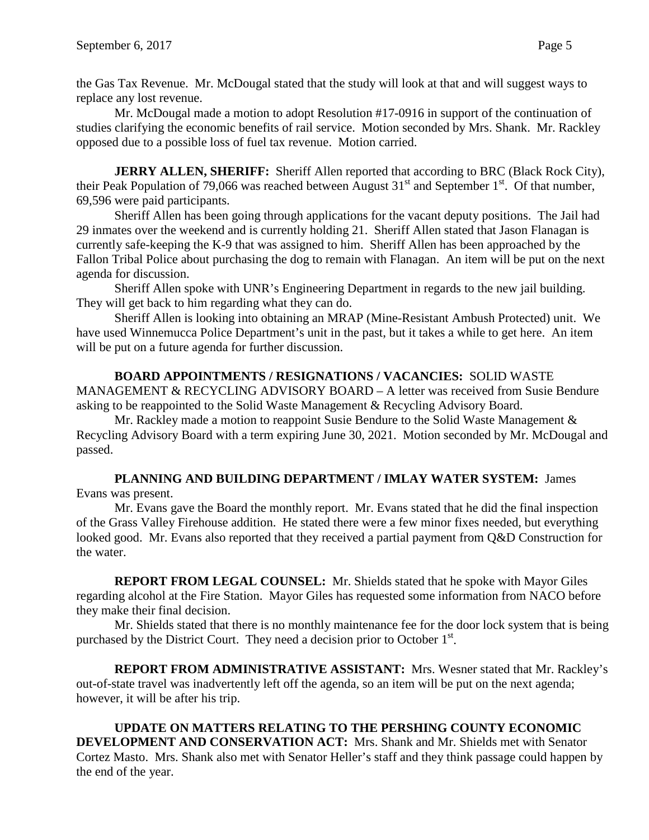replace any lost revenue. Mr. McDougal made a motion to adopt Resolution #17-0916 in support of the continuation of

studies clarifying the economic benefits of rail service. Motion seconded by Mrs. Shank. Mr. Rackley opposed due to a possible loss of fuel tax revenue. Motion carried.

**JERRY ALLEN, SHERIFF:** Sheriff Allen reported that according to BRC (Black Rock City), their Peak Population of 79,066 was reached between August  $31<sup>st</sup>$  and September  $1<sup>st</sup>$ . Of that number, 69,596 were paid participants.

Sheriff Allen has been going through applications for the vacant deputy positions. The Jail had 29 inmates over the weekend and is currently holding 21. Sheriff Allen stated that Jason Flanagan is currently safe-keeping the K-9 that was assigned to him. Sheriff Allen has been approached by the Fallon Tribal Police about purchasing the dog to remain with Flanagan. An item will be put on the next agenda for discussion.

Sheriff Allen spoke with UNR's Engineering Department in regards to the new jail building. They will get back to him regarding what they can do.

Sheriff Allen is looking into obtaining an MRAP (Mine-Resistant Ambush Protected) unit. We have used Winnemucca Police Department's unit in the past, but it takes a while to get here. An item will be put on a future agenda for further discussion.

# **BOARD APPOINTMENTS / RESIGNATIONS / VACANCIES:** SOLID WASTE

MANAGEMENT & RECYCLING ADVISORY BOARD – A letter was received from Susie Bendure asking to be reappointed to the Solid Waste Management & Recycling Advisory Board.

Mr. Rackley made a motion to reappoint Susie Bendure to the Solid Waste Management  $\&$ Recycling Advisory Board with a term expiring June 30, 2021. Motion seconded by Mr. McDougal and passed.

### **PLANNING AND BUILDING DEPARTMENT / IMLAY WATER SYSTEM:** James Evans was present.

Mr. Evans gave the Board the monthly report. Mr. Evans stated that he did the final inspection of the Grass Valley Firehouse addition. He stated there were a few minor fixes needed, but everything looked good. Mr. Evans also reported that they received a partial payment from Q&D Construction for the water.

**REPORT FROM LEGAL COUNSEL:** Mr. Shields stated that he spoke with Mayor Giles regarding alcohol at the Fire Station. Mayor Giles has requested some information from NACO before they make their final decision.

Mr. Shields stated that there is no monthly maintenance fee for the door lock system that is being purchased by the District Court. They need a decision prior to October  $1<sup>st</sup>$ .

**REPORT FROM ADMINISTRATIVE ASSISTANT:** Mrs. Wesner stated that Mr. Rackley's out-of-state travel was inadvertently left off the agenda, so an item will be put on the next agenda; however, it will be after his trip.

**UPDATE ON MATTERS RELATING TO THE PERSHING COUNTY ECONOMIC DEVELOPMENT AND CONSERVATION ACT:** Mrs. Shank and Mr. Shields met with Senator Cortez Masto. Mrs. Shank also met with Senator Heller's staff and they think passage could happen by the end of the year.